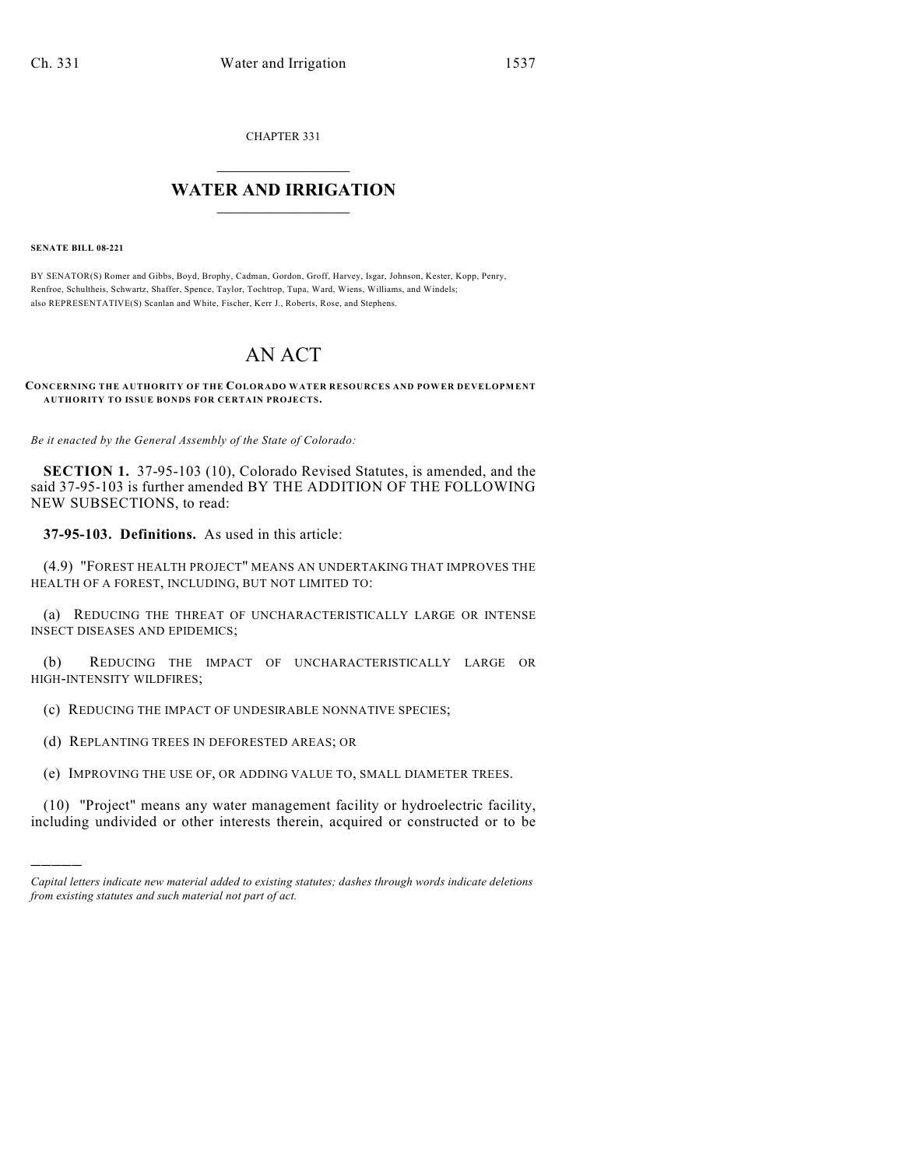CHAPTER 331

## $\overline{\phantom{a}}$  . The set of the set of the set of the set of the set of the set of the set of the set of the set of the set of the set of the set of the set of the set of the set of the set of the set of the set of the set o **WATER AND IRRIGATION**  $\_$   $\_$

**SENATE BILL 08-221**

)))))

BY SENATOR(S) Romer and Gibbs, Boyd, Brophy, Cadman, Gordon, Groff, Harvey, Isgar, Johnson, Kester, Kopp, Penry, Renfroe, Schultheis, Schwartz, Shaffer, Spence, Taylor, Tochtrop, Tupa, Ward, Wiens, Williams, and Windels; also REPRESENTATIVE(S) Scanlan and White, Fischer, Kerr J., Roberts, Rose, and Stephens.

## AN ACT

**CONCERNING THE AUTHORITY OF THE COLORADO WATER RESOURCES AND POWER DEVELOPMENT AUTHORITY TO ISSUE BONDS FOR CERTAIN PROJECTS.**

*Be it enacted by the General Assembly of the State of Colorado:*

**SECTION 1.** 37-95-103 (10), Colorado Revised Statutes, is amended, and the said 37-95-103 is further amended BY THE ADDITION OF THE FOLLOWING NEW SUBSECTIONS, to read:

**37-95-103. Definitions.** As used in this article:

(4.9) "FOREST HEALTH PROJECT" MEANS AN UNDERTAKING THAT IMPROVES THE HEALTH OF A FOREST, INCLUDING, BUT NOT LIMITED TO:

(a) REDUCING THE THREAT OF UNCHARACTERISTICALLY LARGE OR INTENSE INSECT DISEASES AND EPIDEMICS;

(b) REDUCING THE IMPACT OF UNCHARACTERISTICALLY LARGE OR HIGH-INTENSITY WILDFIRES;

(c) REDUCING THE IMPACT OF UNDESIRABLE NONNATIVE SPECIES;

(d) REPLANTING TREES IN DEFORESTED AREAS; OR

(e) IMPROVING THE USE OF, OR ADDING VALUE TO, SMALL DIAMETER TREES.

(10) "Project" means any water management facility or hydroelectric facility, including undivided or other interests therein, acquired or constructed or to be

*Capital letters indicate new material added to existing statutes; dashes through words indicate deletions from existing statutes and such material not part of act.*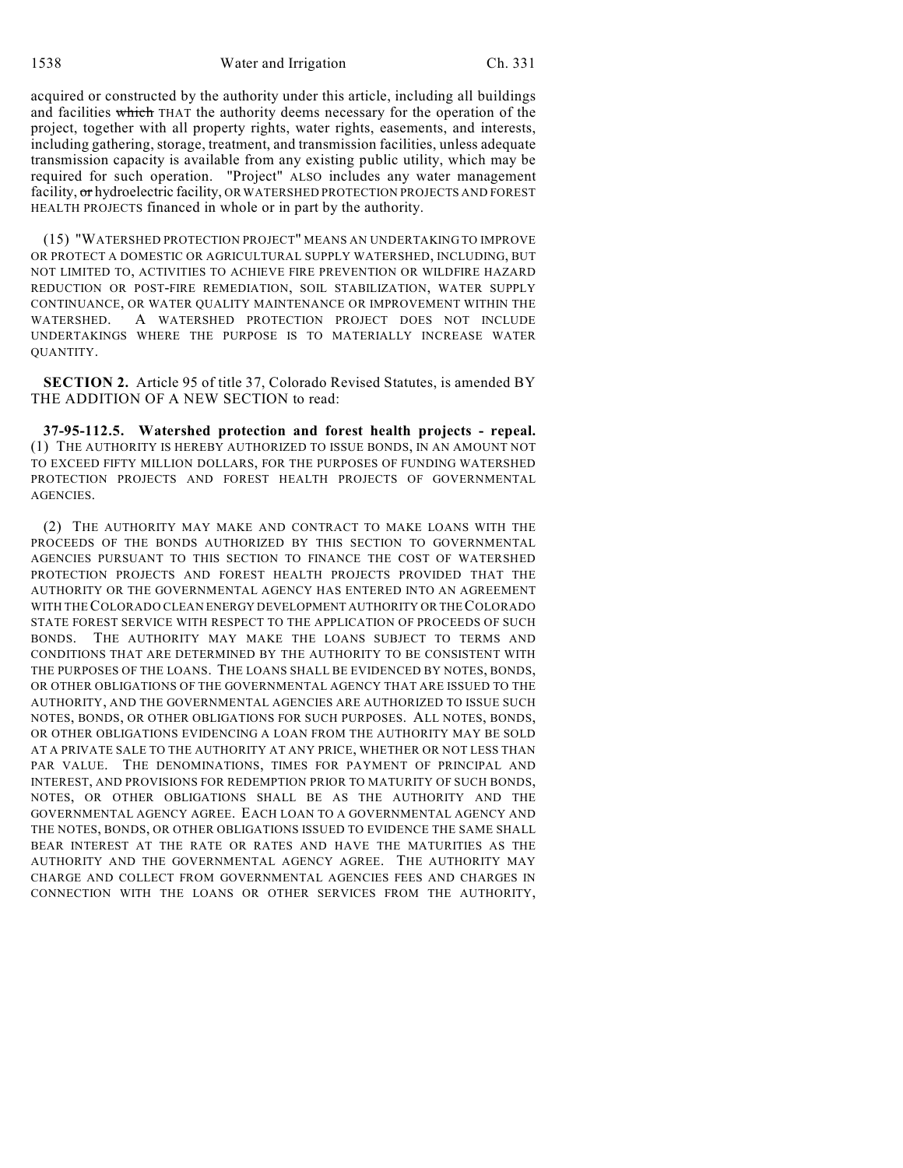1538 Water and Irrigation Ch. 331

acquired or constructed by the authority under this article, including all buildings and facilities which THAT the authority deems necessary for the operation of the project, together with all property rights, water rights, easements, and interests, including gathering, storage, treatment, and transmission facilities, unless adequate transmission capacity is available from any existing public utility, which may be required for such operation. "Project" ALSO includes any water management facility, or hydroelectric facility, OR WATERSHED PROTECTION PROJECTS AND FOREST HEALTH PROJECTS financed in whole or in part by the authority.

(15) "WATERSHED PROTECTION PROJECT" MEANS AN UNDERTAKING TO IMPROVE OR PROTECT A DOMESTIC OR AGRICULTURAL SUPPLY WATERSHED, INCLUDING, BUT NOT LIMITED TO, ACTIVITIES TO ACHIEVE FIRE PREVENTION OR WILDFIRE HAZARD REDUCTION OR POST-FIRE REMEDIATION, SOIL STABILIZATION, WATER SUPPLY CONTINUANCE, OR WATER QUALITY MAINTENANCE OR IMPROVEMENT WITHIN THE WATERSHED. A WATERSHED PROTECTION PROJECT DOES NOT INCLUDE UNDERTAKINGS WHERE THE PURPOSE IS TO MATERIALLY INCREASE WATER QUANTITY.

**SECTION 2.** Article 95 of title 37, Colorado Revised Statutes, is amended BY THE ADDITION OF A NEW SECTION to read:

**37-95-112.5. Watershed protection and forest health projects - repeal.** (1) THE AUTHORITY IS HEREBY AUTHORIZED TO ISSUE BONDS, IN AN AMOUNT NOT TO EXCEED FIFTY MILLION DOLLARS, FOR THE PURPOSES OF FUNDING WATERSHED PROTECTION PROJECTS AND FOREST HEALTH PROJECTS OF GOVERNMENTAL **AGENCIES** 

(2) THE AUTHORITY MAY MAKE AND CONTRACT TO MAKE LOANS WITH THE PROCEEDS OF THE BONDS AUTHORIZED BY THIS SECTION TO GOVERNMENTAL AGENCIES PURSUANT TO THIS SECTION TO FINANCE THE COST OF WATERSHED PROTECTION PROJECTS AND FOREST HEALTH PROJECTS PROVIDED THAT THE AUTHORITY OR THE GOVERNMENTAL AGENCY HAS ENTERED INTO AN AGREEMENT WITH THE COLORADO CLEAN ENERGY DEVELOPMENT AUTHORITY OR THE COLORADO STATE FOREST SERVICE WITH RESPECT TO THE APPLICATION OF PROCEEDS OF SUCH BONDS. THE AUTHORITY MAY MAKE THE LOANS SUBJECT TO TERMS AND CONDITIONS THAT ARE DETERMINED BY THE AUTHORITY TO BE CONSISTENT WITH THE PURPOSES OF THE LOANS. THE LOANS SHALL BE EVIDENCED BY NOTES, BONDS, OR OTHER OBLIGATIONS OF THE GOVERNMENTAL AGENCY THAT ARE ISSUED TO THE AUTHORITY, AND THE GOVERNMENTAL AGENCIES ARE AUTHORIZED TO ISSUE SUCH NOTES, BONDS, OR OTHER OBLIGATIONS FOR SUCH PURPOSES. ALL NOTES, BONDS, OR OTHER OBLIGATIONS EVIDENCING A LOAN FROM THE AUTHORITY MAY BE SOLD AT A PRIVATE SALE TO THE AUTHORITY AT ANY PRICE, WHETHER OR NOT LESS THAN PAR VALUE. THE DENOMINATIONS, TIMES FOR PAYMENT OF PRINCIPAL AND INTEREST, AND PROVISIONS FOR REDEMPTION PRIOR TO MATURITY OF SUCH BONDS, NOTES, OR OTHER OBLIGATIONS SHALL BE AS THE AUTHORITY AND THE GOVERNMENTAL AGENCY AGREE. EACH LOAN TO A GOVERNMENTAL AGENCY AND THE NOTES, BONDS, OR OTHER OBLIGATIONS ISSUED TO EVIDENCE THE SAME SHALL BEAR INTEREST AT THE RATE OR RATES AND HAVE THE MATURITIES AS THE AUTHORITY AND THE GOVERNMENTAL AGENCY AGREE. THE AUTHORITY MAY CHARGE AND COLLECT FROM GOVERNMENTAL AGENCIES FEES AND CHARGES IN CONNECTION WITH THE LOANS OR OTHER SERVICES FROM THE AUTHORITY,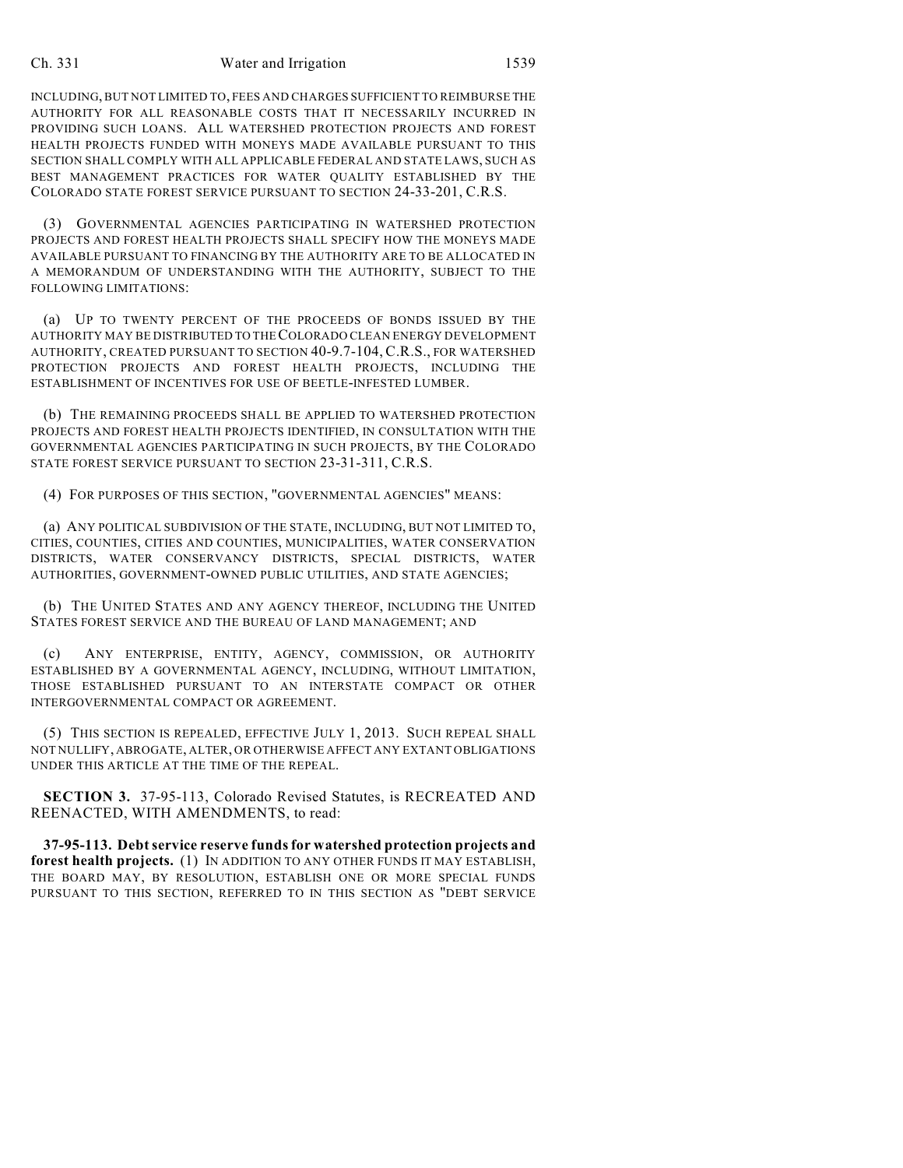INCLUDING, BUT NOT LIMITED TO, FEES AND CHARGES SUFFICIENT TO REIMBURSE THE AUTHORITY FOR ALL REASONABLE COSTS THAT IT NECESSARILY INCURRED IN PROVIDING SUCH LOANS. ALL WATERSHED PROTECTION PROJECTS AND FOREST HEALTH PROJECTS FUNDED WITH MONEYS MADE AVAILABLE PURSUANT TO THIS SECTION SHALL COMPLY WITH ALL APPLICABLE FEDERAL AND STATE LAWS, SUCH AS BEST MANAGEMENT PRACTICES FOR WATER QUALITY ESTABLISHED BY THE COLORADO STATE FOREST SERVICE PURSUANT TO SECTION 24-33-201, C.R.S.

(3) GOVERNMENTAL AGENCIES PARTICIPATING IN WATERSHED PROTECTION PROJECTS AND FOREST HEALTH PROJECTS SHALL SPECIFY HOW THE MONEYS MADE AVAILABLE PURSUANT TO FINANCING BY THE AUTHORITY ARE TO BE ALLOCATED IN A MEMORANDUM OF UNDERSTANDING WITH THE AUTHORITY, SUBJECT TO THE FOLLOWING LIMITATIONS:

(a) UP TO TWENTY PERCENT OF THE PROCEEDS OF BONDS ISSUED BY THE AUTHORITY MAY BE DISTRIBUTED TO THE COLORADO CLEAN ENERGY DEVELOPMENT AUTHORITY, CREATED PURSUANT TO SECTION 40-9.7-104, C.R.S., FOR WATERSHED PROTECTION PROJECTS AND FOREST HEALTH PROJECTS, INCLUDING THE ESTABLISHMENT OF INCENTIVES FOR USE OF BEETLE-INFESTED LUMBER.

(b) THE REMAINING PROCEEDS SHALL BE APPLIED TO WATERSHED PROTECTION PROJECTS AND FOREST HEALTH PROJECTS IDENTIFIED, IN CONSULTATION WITH THE GOVERNMENTAL AGENCIES PARTICIPATING IN SUCH PROJECTS, BY THE COLORADO STATE FOREST SERVICE PURSUANT TO SECTION 23-31-311, C.R.S.

(4) FOR PURPOSES OF THIS SECTION, "GOVERNMENTAL AGENCIES" MEANS:

(a) ANY POLITICAL SUBDIVISION OF THE STATE, INCLUDING, BUT NOT LIMITED TO, CITIES, COUNTIES, CITIES AND COUNTIES, MUNICIPALITIES, WATER CONSERVATION DISTRICTS, WATER CONSERVANCY DISTRICTS, SPECIAL DISTRICTS, WATER AUTHORITIES, GOVERNMENT-OWNED PUBLIC UTILITIES, AND STATE AGENCIES;

(b) THE UNITED STATES AND ANY AGENCY THEREOF, INCLUDING THE UNITED STATES FOREST SERVICE AND THE BUREAU OF LAND MANAGEMENT; AND

(c) ANY ENTERPRISE, ENTITY, AGENCY, COMMISSION, OR AUTHORITY ESTABLISHED BY A GOVERNMENTAL AGENCY, INCLUDING, WITHOUT LIMITATION, THOSE ESTABLISHED PURSUANT TO AN INTERSTATE COMPACT OR OTHER INTERGOVERNMENTAL COMPACT OR AGREEMENT.

(5) THIS SECTION IS REPEALED, EFFECTIVE JULY 1, 2013. SUCH REPEAL SHALL NOT NULLIFY, ABROGATE, ALTER, OR OTHERWISE AFFECT ANY EXTANT OBLIGATIONS UNDER THIS ARTICLE AT THE TIME OF THE REPEAL.

**SECTION 3.** 37-95-113, Colorado Revised Statutes, is RECREATED AND REENACTED, WITH AMENDMENTS, to read:

**37-95-113. Debt service reserve funds for watershed protection projects and forest health projects.** (1) IN ADDITION TO ANY OTHER FUNDS IT MAY ESTABLISH, THE BOARD MAY, BY RESOLUTION, ESTABLISH ONE OR MORE SPECIAL FUNDS PURSUANT TO THIS SECTION, REFERRED TO IN THIS SECTION AS "DEBT SERVICE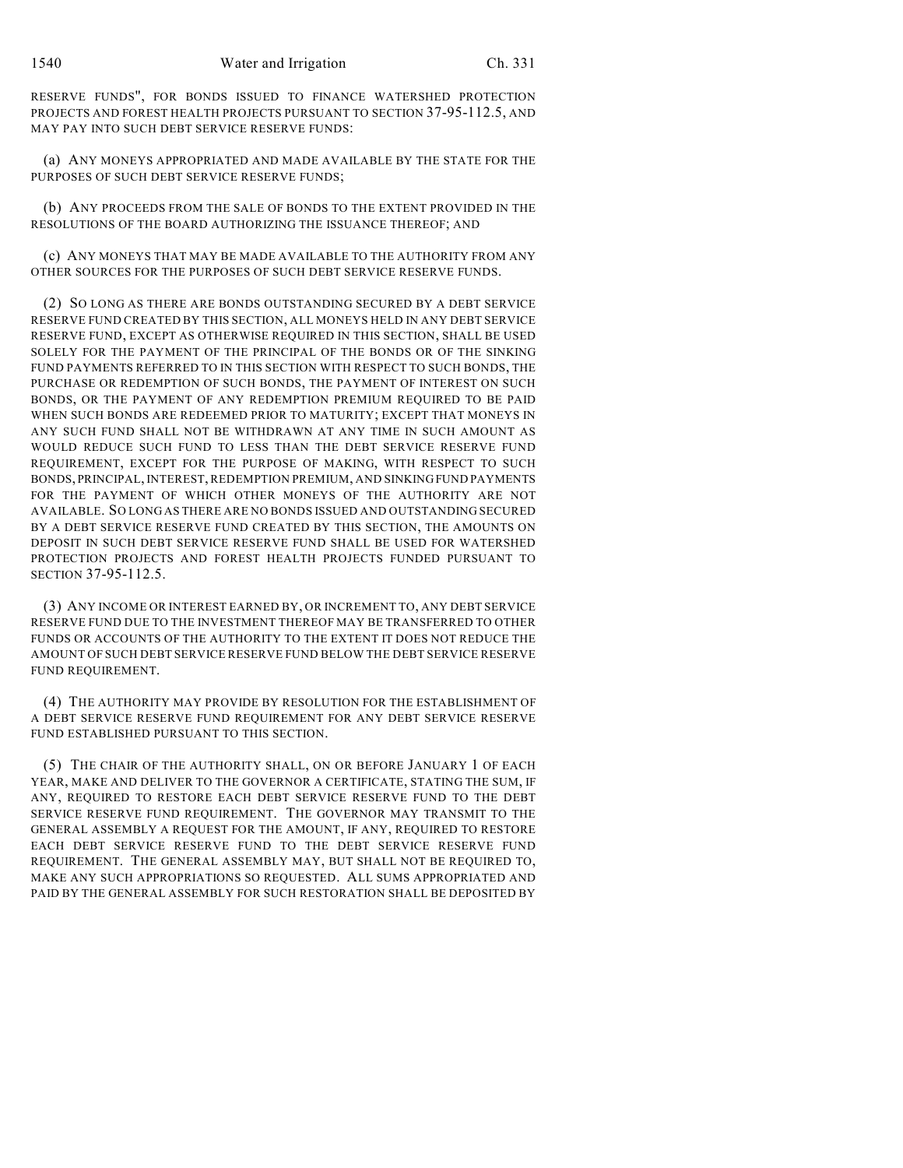RESERVE FUNDS", FOR BONDS ISSUED TO FINANCE WATERSHED PROTECTION PROJECTS AND FOREST HEALTH PROJECTS PURSUANT TO SECTION 37-95-112.5, AND MAY PAY INTO SUCH DEBT SERVICE RESERVE FUNDS:

(a) ANY MONEYS APPROPRIATED AND MADE AVAILABLE BY THE STATE FOR THE PURPOSES OF SUCH DEBT SERVICE RESERVE FUNDS;

(b) ANY PROCEEDS FROM THE SALE OF BONDS TO THE EXTENT PROVIDED IN THE RESOLUTIONS OF THE BOARD AUTHORIZING THE ISSUANCE THEREOF; AND

(c) ANY MONEYS THAT MAY BE MADE AVAILABLE TO THE AUTHORITY FROM ANY OTHER SOURCES FOR THE PURPOSES OF SUCH DEBT SERVICE RESERVE FUNDS.

(2) SO LONG AS THERE ARE BONDS OUTSTANDING SECURED BY A DEBT SERVICE RESERVE FUND CREATED BY THIS SECTION, ALL MONEYS HELD IN ANY DEBT SERVICE RESERVE FUND, EXCEPT AS OTHERWISE REQUIRED IN THIS SECTION, SHALL BE USED SOLELY FOR THE PAYMENT OF THE PRINCIPAL OF THE BONDS OR OF THE SINKING FUND PAYMENTS REFERRED TO IN THIS SECTION WITH RESPECT TO SUCH BONDS, THE PURCHASE OR REDEMPTION OF SUCH BONDS, THE PAYMENT OF INTEREST ON SUCH BONDS, OR THE PAYMENT OF ANY REDEMPTION PREMIUM REQUIRED TO BE PAID WHEN SUCH BONDS ARE REDEEMED PRIOR TO MATURITY; EXCEPT THAT MONEYS IN ANY SUCH FUND SHALL NOT BE WITHDRAWN AT ANY TIME IN SUCH AMOUNT AS WOULD REDUCE SUCH FUND TO LESS THAN THE DEBT SERVICE RESERVE FUND REQUIREMENT, EXCEPT FOR THE PURPOSE OF MAKING, WITH RESPECT TO SUCH BONDS, PRINCIPAL, INTEREST, REDEMPTION PREMIUM, AND SINKING FUND PAYMENTS FOR THE PAYMENT OF WHICH OTHER MONEYS OF THE AUTHORITY ARE NOT AVAILABLE. SO LONG AS THERE ARE NO BONDS ISSUED AND OUTSTANDING SECURED BY A DEBT SERVICE RESERVE FUND CREATED BY THIS SECTION, THE AMOUNTS ON DEPOSIT IN SUCH DEBT SERVICE RESERVE FUND SHALL BE USED FOR WATERSHED PROTECTION PROJECTS AND FOREST HEALTH PROJECTS FUNDED PURSUANT TO SECTION 37-95-112.5.

(3) ANY INCOME OR INTEREST EARNED BY, OR INCREMENT TO, ANY DEBT SERVICE RESERVE FUND DUE TO THE INVESTMENT THEREOF MAY BE TRANSFERRED TO OTHER FUNDS OR ACCOUNTS OF THE AUTHORITY TO THE EXTENT IT DOES NOT REDUCE THE AMOUNT OF SUCH DEBT SERVICE RESERVE FUND BELOW THE DEBT SERVICE RESERVE FUND REQUIREMENT.

(4) THE AUTHORITY MAY PROVIDE BY RESOLUTION FOR THE ESTABLISHMENT OF A DEBT SERVICE RESERVE FUND REQUIREMENT FOR ANY DEBT SERVICE RESERVE FUND ESTABLISHED PURSUANT TO THIS SECTION.

(5) THE CHAIR OF THE AUTHORITY SHALL, ON OR BEFORE JANUARY 1 OF EACH YEAR, MAKE AND DELIVER TO THE GOVERNOR A CERTIFICATE, STATING THE SUM, IF ANY, REQUIRED TO RESTORE EACH DEBT SERVICE RESERVE FUND TO THE DEBT SERVICE RESERVE FUND REQUIREMENT. THE GOVERNOR MAY TRANSMIT TO THE GENERAL ASSEMBLY A REQUEST FOR THE AMOUNT, IF ANY, REQUIRED TO RESTORE EACH DEBT SERVICE RESERVE FUND TO THE DEBT SERVICE RESERVE FUND REQUIREMENT. THE GENERAL ASSEMBLY MAY, BUT SHALL NOT BE REQUIRED TO, MAKE ANY SUCH APPROPRIATIONS SO REQUESTED. ALL SUMS APPROPRIATED AND PAID BY THE GENERAL ASSEMBLY FOR SUCH RESTORATION SHALL BE DEPOSITED BY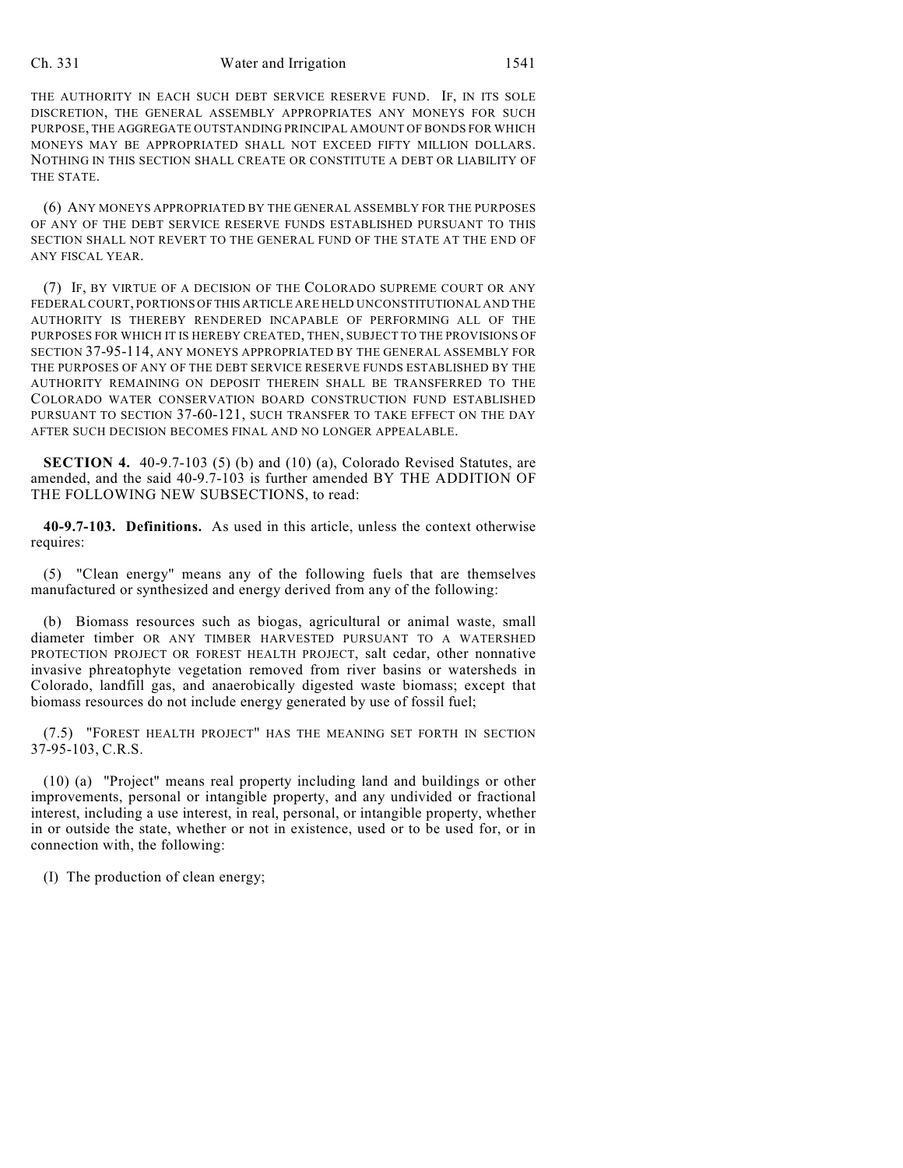## Ch. 331 Water and Irrigation 1541

THE AUTHORITY IN EACH SUCH DEBT SERVICE RESERVE FUND. IF, IN ITS SOLE DISCRETION, THE GENERAL ASSEMBLY APPROPRIATES ANY MONEYS FOR SUCH PURPOSE, THE AGGREGATE OUTSTANDING PRINCIPAL AMOUNT OF BONDS FOR WHICH MONEYS MAY BE APPROPRIATED SHALL NOT EXCEED FIFTY MILLION DOLLARS. NOTHING IN THIS SECTION SHALL CREATE OR CONSTITUTE A DEBT OR LIABILITY OF THE STATE.

(6) ANY MONEYS APPROPRIATED BY THE GENERAL ASSEMBLY FOR THE PURPOSES OF ANY OF THE DEBT SERVICE RESERVE FUNDS ESTABLISHED PURSUANT TO THIS SECTION SHALL NOT REVERT TO THE GENERAL FUND OF THE STATE AT THE END OF ANY FISCAL YEAR.

(7) IF, BY VIRTUE OF A DECISION OF THE COLORADO SUPREME COURT OR ANY FEDERAL COURT, PORTIONS OF THIS ARTICLE ARE HELD UNCONSTITUTIONAL AND THE AUTHORITY IS THEREBY RENDERED INCAPABLE OF PERFORMING ALL OF THE PURPOSES FOR WHICH IT IS HEREBY CREATED, THEN, SUBJECT TO THE PROVISIONS OF SECTION 37-95-114, ANY MONEYS APPROPRIATED BY THE GENERAL ASSEMBLY FOR THE PURPOSES OF ANY OF THE DEBT SERVICE RESERVE FUNDS ESTABLISHED BY THE AUTHORITY REMAINING ON DEPOSIT THEREIN SHALL BE TRANSFERRED TO THE COLORADO WATER CONSERVATION BOARD CONSTRUCTION FUND ESTABLISHED PURSUANT TO SECTION 37-60-121, SUCH TRANSFER TO TAKE EFFECT ON THE DAY AFTER SUCH DECISION BECOMES FINAL AND NO LONGER APPEALABLE.

**SECTION 4.** 40-9.7-103 (5) (b) and (10) (a), Colorado Revised Statutes, are amended, and the said 40-9.7-103 is further amended BY THE ADDITION OF THE FOLLOWING NEW SUBSECTIONS, to read:

**40-9.7-103. Definitions.** As used in this article, unless the context otherwise requires:

(5) "Clean energy" means any of the following fuels that are themselves manufactured or synthesized and energy derived from any of the following:

(b) Biomass resources such as biogas, agricultural or animal waste, small diameter timber OR ANY TIMBER HARVESTED PURSUANT TO A WATERSHED PROTECTION PROJECT OR FOREST HEALTH PROJECT, salt cedar, other nonnative invasive phreatophyte vegetation removed from river basins or watersheds in Colorado, landfill gas, and anaerobically digested waste biomass; except that biomass resources do not include energy generated by use of fossil fuel;

(7.5) "FOREST HEALTH PROJECT" HAS THE MEANING SET FORTH IN SECTION 37-95-103, C.R.S.

(10) (a) "Project" means real property including land and buildings or other improvements, personal or intangible property, and any undivided or fractional interest, including a use interest, in real, personal, or intangible property, whether in or outside the state, whether or not in existence, used or to be used for, or in connection with, the following:

(I) The production of clean energy;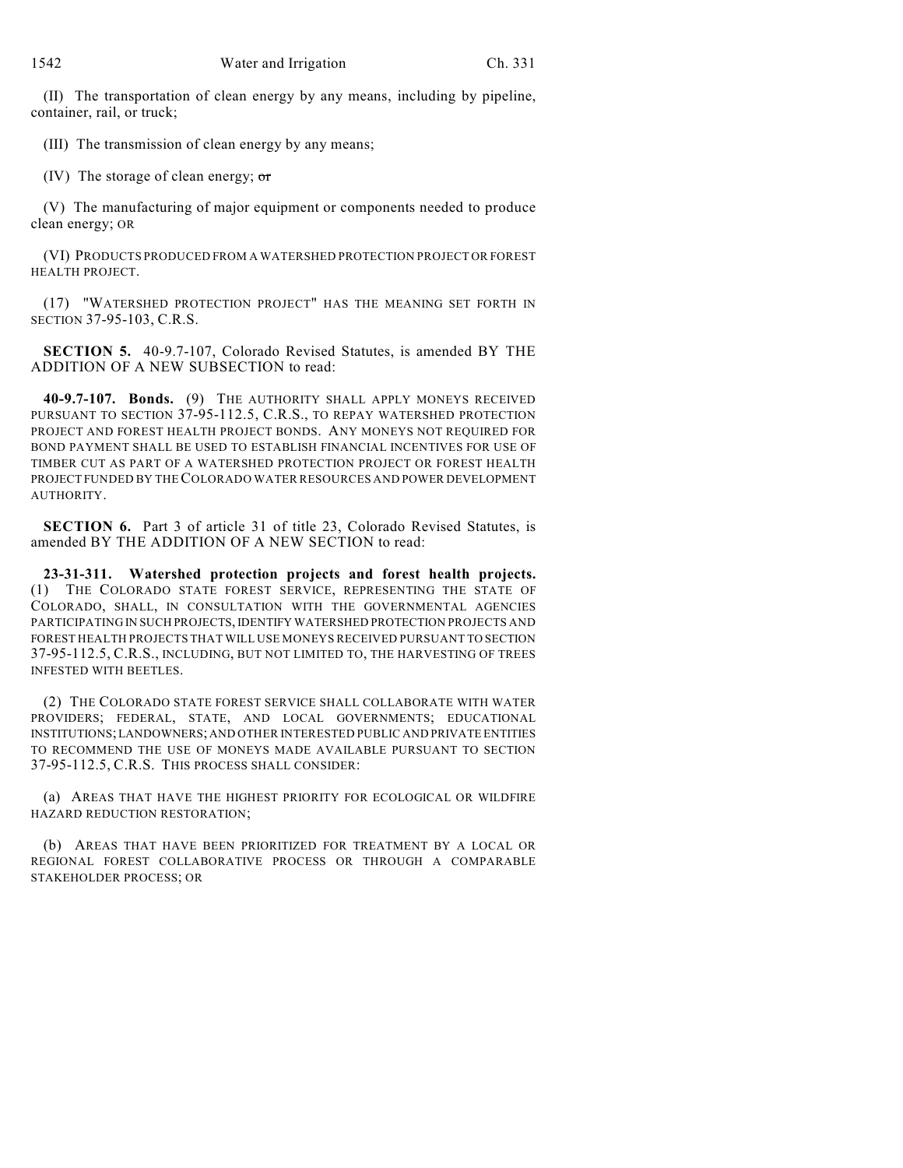(II) The transportation of clean energy by any means, including by pipeline, container, rail, or truck;

(III) The transmission of clean energy by any means;

(IV) The storage of clean energy;  $\sigma$ r

(V) The manufacturing of major equipment or components needed to produce clean energy; OR

(VI) PRODUCTS PRODUCED FROM A WATERSHED PROTECTION PROJECT OR FOREST HEALTH PROJECT.

(17) "WATERSHED PROTECTION PROJECT" HAS THE MEANING SET FORTH IN SECTION 37-95-103, C.R.S.

**SECTION 5.** 40-9.7-107, Colorado Revised Statutes, is amended BY THE ADDITION OF A NEW SUBSECTION to read:

**40-9.7-107. Bonds.** (9) THE AUTHORITY SHALL APPLY MONEYS RECEIVED PURSUANT TO SECTION 37-95-112.5, C.R.S., TO REPAY WATERSHED PROTECTION PROJECT AND FOREST HEALTH PROJECT BONDS. ANY MONEYS NOT REQUIRED FOR BOND PAYMENT SHALL BE USED TO ESTABLISH FINANCIAL INCENTIVES FOR USE OF TIMBER CUT AS PART OF A WATERSHED PROTECTION PROJECT OR FOREST HEALTH PROJECT FUNDED BY THE COLORADO WATER RESOURCES AND POWER DEVELOPMENT **AUTHORITY** 

**SECTION 6.** Part 3 of article 31 of title 23, Colorado Revised Statutes, is amended BY THE ADDITION OF A NEW SECTION to read:

**23-31-311. Watershed protection projects and forest health projects.** (1) THE COLORADO STATE FOREST SERVICE, REPRESENTING THE STATE OF COLORADO, SHALL, IN CONSULTATION WITH THE GOVERNMENTAL AGENCIES PARTICIPATING IN SUCH PROJECTS, IDENTIFY WATERSHED PROTECTION PROJECTS AND FOREST HEALTH PROJECTS THAT WILL USE MONEYS RECEIVED PURSUANT TO SECTION 37-95-112.5, C.R.S., INCLUDING, BUT NOT LIMITED TO, THE HARVESTING OF TREES INFESTED WITH BEETLES.

(2) THE COLORADO STATE FOREST SERVICE SHALL COLLABORATE WITH WATER PROVIDERS; FEDERAL, STATE, AND LOCAL GOVERNMENTS; EDUCATIONAL INSTITUTIONS; LANDOWNERS; AND OTHER INTERESTED PUBLIC AND PRIVATE ENTITIES TO RECOMMEND THE USE OF MONEYS MADE AVAILABLE PURSUANT TO SECTION 37-95-112.5, C.R.S. THIS PROCESS SHALL CONSIDER:

(a) AREAS THAT HAVE THE HIGHEST PRIORITY FOR ECOLOGICAL OR WILDFIRE HAZARD REDUCTION RESTORATION;

(b) AREAS THAT HAVE BEEN PRIORITIZED FOR TREATMENT BY A LOCAL OR REGIONAL FOREST COLLABORATIVE PROCESS OR THROUGH A COMPARABLE STAKEHOLDER PROCESS; OR